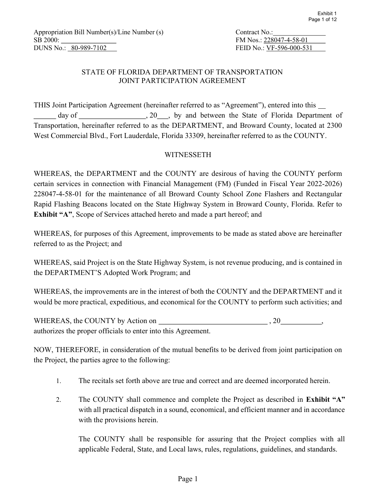| Contract No.:            |  |
|--------------------------|--|
| FM Nos.: 228047-4-58-01  |  |
| FEID No.: VF-596-000-531 |  |

## STATE OF FLORIDA DEPARTMENT OF TRANSPORTATION JOINT PARTICIPATION AGREEMENT

THIS Joint Participation Agreement (hereinafter referred to as "Agreement"), entered into this day of , 20 , by and between the State of Florida Department of Transportation, hereinafter referred to as the DEPARTMENT, and Broward County, located at 2300 West Commercial Blvd., Fort Lauderdale, Florida 33309, hereinafter referred to as the COUNTY.

### **WITNESSETH**

WHEREAS, the DEPARTMENT and the COUNTY are desirous of having the COUNTY perform certain services in connection with Financial Management (FM) (Funded in Fiscal Year 2022-2026) 228047-4-58-01 for the maintenance of all Broward County School Zone Flashers and Rectangular Rapid Flashing Beacons located on the State Highway System in Broward County, Florida. Refer to Exhibit "A", Scope of Services attached hereto and made a part hereof; and

WHEREAS, for purposes of this Agreement, improvements to be made as stated above are hereinafter referred to as the Project; and

WHEREAS, said Project is on the State Highway System, is not revenue producing, and is contained in the DEPARTMENT'S Adopted Work Program; and

WHEREAS, the improvements are in the interest of both the COUNTY and the DEPARTMENT and it would be more practical, expeditious, and economical for the COUNTY to perform such activities; and

WHEREAS, the COUNTY by Action on  $\qquad \qquad .20$ authorizes the proper officials to enter into this Agreement.

NOW, THEREFORE, in consideration of the mutual benefits to be derived from joint participation on the Project, the parties agree to the following:

- 1. The recitals set forth above are true and correct and are deemed incorporated herein.
- 2. The COUNTY shall commence and complete the Project as described in Exhibit "A" with all practical dispatch in a sound, economical, and efficient manner and in accordance with the provisions herein.

The COUNTY shall be responsible for assuring that the Project complies with all applicable Federal, State, and Local laws, rules, regulations, guidelines, and standards.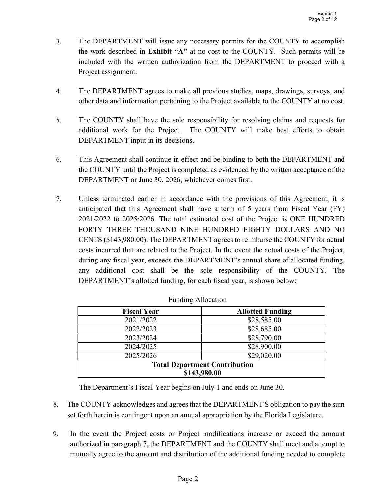- 3. The DEPARTMENT will issue any necessary permits for the COUNTY to accomplish the work described in Exhibit "A" at no cost to the COUNTY. Such permits will be included with the written authorization from the DEPARTMENT to proceed with a Project assignment.
- 4. The DEPARTMENT agrees to make all previous studies, maps, drawings, surveys, and other data and information pertaining to the Project available to the COUNTY at no cost.
- 5. The COUNTY shall have the sole responsibility for resolving claims and requests for additional work for the Project. The COUNTY will make best efforts to obtain DEPARTMENT input in its decisions.
- 6. This Agreement shall continue in effect and be binding to both the DEPARTMENT and the COUNTY until the Project is completed as evidenced by the written acceptance of the DEPARTMENT or June 30, 2026, whichever comes first.
- 7. Unless terminated earlier in accordance with the provisions of this Agreement, it is anticipated that this Agreement shall have a term of 5 years from Fiscal Year (FY) 2021/2022 to 2025/2026. The total estimated cost of the Project is ONE HUNDRED FORTY THREE THOUSAND NINE HUNDRED EIGHTY DOLLARS AND NO CENTS (\$143,980.00). The DEPARTMENT agrees to reimburse the COUNTY for actual costs incurred that are related to the Project. In the event the actual costs of the Project, during any fiscal year, exceeds the DEPARTMENT's annual share of allocated funding, any additional cost shall be the sole responsibility of the COUNTY. The DEPARTMENT's allotted funding, for each fiscal year, is shown below:

| <b>Fiscal Year</b>                   | <b>Allotted Funding</b> |  |  |  |
|--------------------------------------|-------------------------|--|--|--|
| 2021/2022                            | \$28,585.00             |  |  |  |
| 2022/2023                            | \$28,685.00             |  |  |  |
| 2023/2024                            | \$28,790.00             |  |  |  |
| 2024/2025                            | \$28,900.00             |  |  |  |
| 2025/2026                            | \$29,020.00             |  |  |  |
| <b>Total Department Contribution</b> |                         |  |  |  |
| \$143,980.00                         |                         |  |  |  |

|  | <b>Funding Allocation</b> |
|--|---------------------------|
|--|---------------------------|

The Department's Fiscal Year begins on July 1 and ends on June 30.

- 8. The COUNTY acknowledges and agrees that the DEPARTMENT'S obligation to pay the sum set forth herein is contingent upon an annual appropriation by the Florida Legislature.
- 9. In the event the Project costs or Project modifications increase or exceed the amount authorized in paragraph 7, the DEPARTMENT and the COUNTY shall meet and attempt to mutually agree to the amount and distribution of the additional funding needed to complete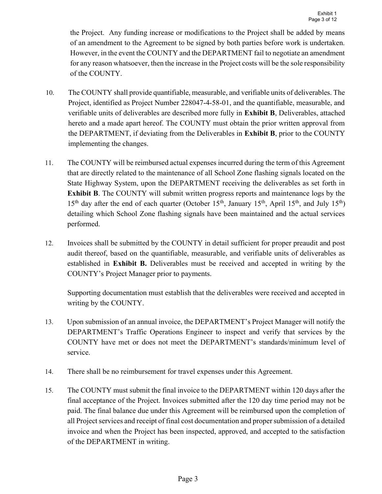the Project. Any funding increase or modifications to the Project shall be added by means of an amendment to the Agreement to be signed by both parties before work is undertaken. However, in the event the COUNTY and the DEPARTMENT fail to negotiate an amendment for any reason whatsoever, then the increase in the Project costs will be the sole responsibility of the COUNTY.

- 10. The COUNTY shall provide quantifiable, measurable, and verifiable units of deliverables. The Project, identified as Project Number 228047-4-58-01, and the quantifiable, measurable, and verifiable units of deliverables are described more fully in Exhibit B, Deliverables, attached hereto and a made apart hereof. The COUNTY must obtain the prior written approval from the DEPARTMENT, if deviating from the Deliverables in Exhibit B, prior to the COUNTY implementing the changes.
- 11. The COUNTY will be reimbursed actual expenses incurred during the term of this Agreement that are directly related to the maintenance of all School Zone flashing signals located on the State Highway System, upon the DEPARTMENT receiving the deliverables as set forth in Exhibit B. The COUNTY will submit written progress reports and maintenance logs by the  $15<sup>th</sup>$  day after the end of each quarter (October 15<sup>th</sup>, January 15<sup>th</sup>, April 15<sup>th</sup>, and July 15<sup>th</sup>) detailing which School Zone flashing signals have been maintained and the actual services performed.
- 12. Invoices shall be submitted by the COUNTY in detail sufficient for proper preaudit and post audit thereof, based on the quantifiable, measurable, and verifiable units of deliverables as established in Exhibit B. Deliverables must be received and accepted in writing by the COUNTY's Project Manager prior to payments.

Supporting documentation must establish that the deliverables were received and accepted in writing by the COUNTY.

- 13. Upon submission of an annual invoice, the DEPARTMENT's Project Manager will notify the DEPARTMENT's Traffic Operations Engineer to inspect and verify that services by the COUNTY have met or does not meet the DEPARTMENT's standards/minimum level of service.
- 14. There shall be no reimbursement for travel expenses under this Agreement.
- 15. The COUNTY must submit the final invoice to the DEPARTMENT within 120 days after the final acceptance of the Project. Invoices submitted after the 120 day time period may not be paid. The final balance due under this Agreement will be reimbursed upon the completion of all Project services and receipt of final cost documentation and proper submission of a detailed invoice and when the Project has been inspected, approved, and accepted to the satisfaction of the DEPARTMENT in writing.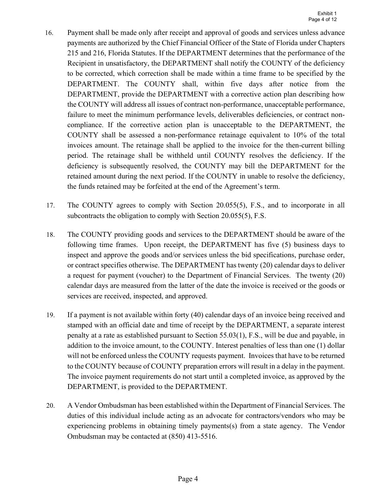- 16. Payment shall be made only after receipt and approval of goods and services unless advance payments are authorized by the Chief Financial Officer of the State of Florida under Chapters 215 and 216, Florida Statutes. If the DEPARTMENT determines that the performance of the Recipient in unsatisfactory, the DEPARTMENT shall notify the COUNTY of the deficiency to be corrected, which correction shall be made within a time frame to be specified by the DEPARTMENT. The COUNTY shall, within five days after notice from the DEPARTMENT, provide the DEPARTMENT with a corrective action plan describing how the COUNTY will address all issues of contract non-performance, unacceptable performance, failure to meet the minimum performance levels, deliverables deficiencies, or contract noncompliance. If the corrective action plan is unacceptable to the DEPARTMENT, the COUNTY shall be assessed a non-performance retainage equivalent to 10% of the total invoices amount. The retainage shall be applied to the invoice for the then-current billing period. The retainage shall be withheld until COUNTY resolves the deficiency. If the deficiency is subsequently resolved, the COUNTY may bill the DEPARTMENT for the retained amount during the next period. If the COUNTY in unable to resolve the deficiency, the funds retained may be forfeited at the end of the Agreement's term.
- 17. The COUNTY agrees to comply with Section 20.055(5), F.S., and to incorporate in all subcontracts the obligation to comply with Section 20.055(5), F.S.
- 18. The COUNTY providing goods and services to the DEPARTMENT should be aware of the following time frames. Upon receipt, the DEPARTMENT has five (5) business days to inspect and approve the goods and/or services unless the bid specifications, purchase order, or contract specifies otherwise. The DEPARTMENT has twenty (20) calendar days to deliver a request for payment (voucher) to the Department of Financial Services. The twenty (20) calendar days are measured from the latter of the date the invoice is received or the goods or services are received, inspected, and approved.
- 19. If a payment is not available within forty (40) calendar days of an invoice being received and stamped with an official date and time of receipt by the DEPARTMENT, a separate interest penalty at a rate as established pursuant to Section 55.03(1), F.S., will be due and payable, in addition to the invoice amount, to the COUNTY. Interest penalties of less than one (1) dollar will not be enforced unless the COUNTY requests payment. Invoices that have to be returned to the COUNTY because of COUNTY preparation errors will result in a delay in the payment. The invoice payment requirements do not start until a completed invoice, as approved by the DEPARTMENT, is provided to the DEPARTMENT.
- 20. A Vendor Ombudsman has been established within the Department of Financial Services. The duties of this individual include acting as an advocate for contractors/vendors who may be experiencing problems in obtaining timely payments(s) from a state agency. The Vendor Ombudsman may be contacted at (850) 413-5516.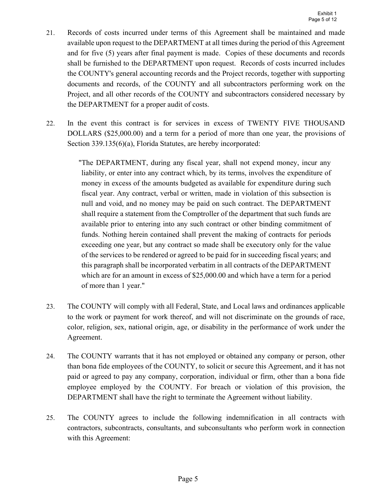- 21. Records of costs incurred under terms of this Agreement shall be maintained and made available upon request to the DEPARTMENT at all times during the period of this Agreement and for five (5) years after final payment is made. Copies of these documents and records shall be furnished to the DEPARTMENT upon request. Records of costs incurred includes the COUNTY's general accounting records and the Project records, together with supporting documents and records, of the COUNTY and all subcontractors performing work on the Project, and all other records of the COUNTY and subcontractors considered necessary by the DEPARTMENT for a proper audit of costs.
- 22. In the event this contract is for services in excess of TWENTY FIVE THOUSAND DOLLARS (\$25,000.00) and a term for a period of more than one year, the provisions of Section 339.135(6)(a), Florida Statutes, are hereby incorporated:

"The DEPARTMENT, during any fiscal year, shall not expend money, incur any liability, or enter into any contract which, by its terms, involves the expenditure of money in excess of the amounts budgeted as available for expenditure during such fiscal year. Any contract, verbal or written, made in violation of this subsection is null and void, and no money may be paid on such contract. The DEPARTMENT shall require a statement from the Comptroller of the department that such funds are available prior to entering into any such contract or other binding commitment of funds. Nothing herein contained shall prevent the making of contracts for periods exceeding one year, but any contract so made shall be executory only for the value of the services to be rendered or agreed to be paid for in succeeding fiscal years; and this paragraph shall be incorporated verbatim in all contracts of the DEPARTMENT which are for an amount in excess of \$25,000.00 and which have a term for a period of more than 1 year."

- 23. The COUNTY will comply with all Federal, State, and Local laws and ordinances applicable to the work or payment for work thereof, and will not discriminate on the grounds of race, color, religion, sex, national origin, age, or disability in the performance of work under the Agreement.
- 24. The COUNTY warrants that it has not employed or obtained any company or person, other than bona fide employees of the COUNTY, to solicit or secure this Agreement, and it has not paid or agreed to pay any company, corporation, individual or firm, other than a bona fide employee employed by the COUNTY. For breach or violation of this provision, the DEPARTMENT shall have the right to terminate the Agreement without liability.
- 25. The COUNTY agrees to include the following indemnification in all contracts with contractors, subcontracts, consultants, and subconsultants who perform work in connection with this Agreement: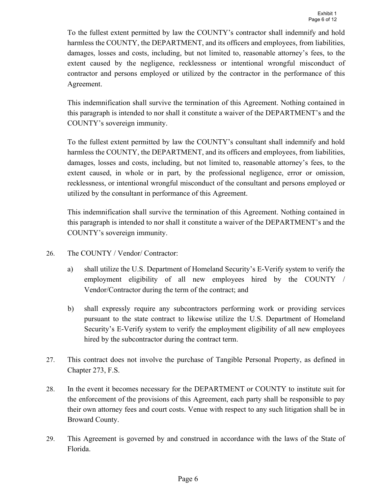To the fullest extent permitted by law the COUNTY's contractor shall indemnify and hold harmless the COUNTY, the DEPARTMENT, and its officers and employees, from liabilities, damages, losses and costs, including, but not limited to, reasonable attorney's fees, to the extent caused by the negligence, recklessness or intentional wrongful misconduct of contractor and persons employed or utilized by the contractor in the performance of this Agreement.

This indemnification shall survive the termination of this Agreement. Nothing contained in this paragraph is intended to nor shall it constitute a waiver of the DEPARTMENT's and the COUNTY's sovereign immunity.

To the fullest extent permitted by law the COUNTY's consultant shall indemnify and hold harmless the COUNTY, the DEPARTMENT, and its officers and employees, from liabilities, damages, losses and costs, including, but not limited to, reasonable attorney's fees, to the extent caused, in whole or in part, by the professional negligence, error or omission, recklessness, or intentional wrongful misconduct of the consultant and persons employed or utilized by the consultant in performance of this Agreement.

This indemnification shall survive the termination of this Agreement. Nothing contained in this paragraph is intended to nor shall it constitute a waiver of the DEPARTMENT's and the COUNTY's sovereign immunity.

- 26. The COUNTY / Vendor/ Contractor:
	- a) shall utilize the U.S. Department of Homeland Security's E-Verify system to verify the employment eligibility of all new employees hired by the COUNTY / Vendor/Contractor during the term of the contract; and
	- b) shall expressly require any subcontractors performing work or providing services pursuant to the state contract to likewise utilize the U.S. Department of Homeland Security's E-Verify system to verify the employment eligibility of all new employees hired by the subcontractor during the contract term.
- 27. This contract does not involve the purchase of Tangible Personal Property, as defined in Chapter 273, F.S.
- 28. In the event it becomes necessary for the DEPARTMENT or COUNTY to institute suit for the enforcement of the provisions of this Agreement, each party shall be responsible to pay their own attorney fees and court costs. Venue with respect to any such litigation shall be in Broward County.
- 29. This Agreement is governed by and construed in accordance with the laws of the State of Florida.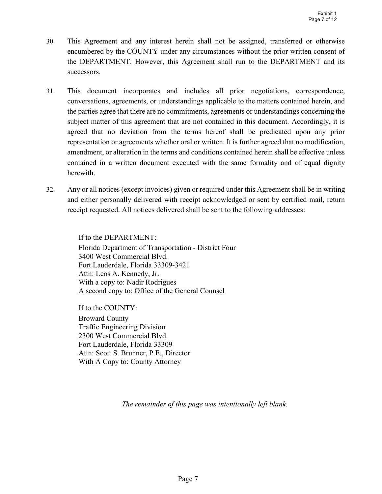- 30. This Agreement and any interest herein shall not be assigned, transferred or otherwise encumbered by the COUNTY under any circumstances without the prior written consent of the DEPARTMENT. However, this Agreement shall run to the DEPARTMENT and its successors.
- 31. This document incorporates and includes all prior negotiations, correspondence, conversations, agreements, or understandings applicable to the matters contained herein, and the parties agree that there are no commitments, agreements or understandings concerning the subject matter of this agreement that are not contained in this document. Accordingly, it is agreed that no deviation from the terms hereof shall be predicated upon any prior representation or agreements whether oral or written. It is further agreed that no modification, amendment, or alteration in the terms and conditions contained herein shall be effective unless contained in a written document executed with the same formality and of equal dignity herewith.
- 32. Any or all notices (except invoices) given or required under this Agreement shall be in writing and either personally delivered with receipt acknowledged or sent by certified mail, return receipt requested. All notices delivered shall be sent to the following addresses:

If to the DEPARTMENT: Florida Department of Transportation - District Four 3400 West Commercial Blvd. Fort Lauderdale, Florida 33309-3421 Attn: Leos A. Kennedy, Jr. With a copy to: Nadir Rodrigues A second copy to: Office of the General Counsel

If to the COUNTY: Broward County Traffic Engineering Division 2300 West Commercial Blvd. Fort Lauderdale, Florida 33309 Attn: Scott S. Brunner, P.E., Director With A Copy to: County Attorney

The remainder of this page was intentionally left blank.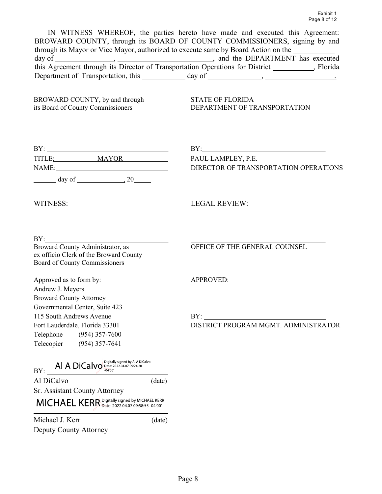IN WITNESS WHEREOF, the parties hereto have made and executed this Agreement: BROWARD COUNTY, through its BOARD OF COUNTY COMMISSIONERS, signing by and through its Mayor or Vice Mayor, authorized to execute same by Board Action on the day of , , and the DEPARTMENT has executed this Agreement through its Director of Transportation Operations for District \_\_\_\_\_\_\_\_\_\_, Florida Department of Transportation, this day of , .

BROWARD COUNTY, by and through STATE OF FLORIDA<br>its Board of County Commissioners DEPARTMENT OF TF

its Board of County Commissioners DEPARTMENT OF TRANSPORTATION

|                                                                                                                                                                                     | $BY: \begin{tabular}{ c c c c } \hline \rule{0.2cm}{.01cm} \rule{0.2cm}{.01cm} \rule{0.2cm}{.01cm} \rule{0.2cm}{.01cm} \rule{0.2cm}{.01cm} \rule{0.2cm}{.01cm} \rule{0.2cm}{.01cm} \rule{0.2cm}{.01cm} \rule{0.2cm}{.01cm} \rule{0.2cm}{.01cm} \rule{0.2cm}{.01cm} \rule{0.2cm}{.01cm} \rule{0.2cm}{.01cm} \rule{0.2cm}{.01cm} \rule{0.2cm}{.01cm} \rule{0$ |
|-------------------------------------------------------------------------------------------------------------------------------------------------------------------------------------|-------------------------------------------------------------------------------------------------------------------------------------------------------------------------------------------------------------------------------------------------------------------------------------------------------------------------------------------------------------|
|                                                                                                                                                                                     | PAUL LAMPLEY, P.E.                                                                                                                                                                                                                                                                                                                                          |
|                                                                                                                                                                                     | DIRECTOR OF TRANSPORTATION OPERATIONS                                                                                                                                                                                                                                                                                                                       |
| $\frac{day \text{ of }$ 20                                                                                                                                                          |                                                                                                                                                                                                                                                                                                                                                             |
| WITNESS:                                                                                                                                                                            | <b>LEGAL REVIEW:</b>                                                                                                                                                                                                                                                                                                                                        |
| BY:<br>Broward County Administrator, as                                                                                                                                             |                                                                                                                                                                                                                                                                                                                                                             |
| ex officio Clerk of the Broward County<br>Board of County Commissioners                                                                                                             | OFFICE OF THE GENERAL COUNSEL                                                                                                                                                                                                                                                                                                                               |
| Approved as to form by:                                                                                                                                                             | <b>APPROVED:</b>                                                                                                                                                                                                                                                                                                                                            |
| Andrew J. Meyers                                                                                                                                                                    |                                                                                                                                                                                                                                                                                                                                                             |
| <b>Broward County Attorney</b>                                                                                                                                                      |                                                                                                                                                                                                                                                                                                                                                             |
| Governmental Center, Suite 423                                                                                                                                                      |                                                                                                                                                                                                                                                                                                                                                             |
| 115 South Andrews Avenue                                                                                                                                                            | BY:                                                                                                                                                                                                                                                                                                                                                         |
| Fort Lauderdale, Florida 33301                                                                                                                                                      | DISTRICT PROGRAM MGMT. ADMINISTRATOR                                                                                                                                                                                                                                                                                                                        |
| Telephone (954) 357-7600                                                                                                                                                            |                                                                                                                                                                                                                                                                                                                                                             |
| Telecopier (954) 357-7641                                                                                                                                                           |                                                                                                                                                                                                                                                                                                                                                             |
| $\text{BY:}\begin{array}{ l } \hline \multicolumn{1}{c}{\text{AIA DiCalvo}}\begin{array}{l}{\text{Digitally signed by Al A DiCalvo}}\\ \hline {\text{D4I.}}\end{array} \end{array}$ |                                                                                                                                                                                                                                                                                                                                                             |
| Al DiCalvo                                                                                                                                                                          | (date)                                                                                                                                                                                                                                                                                                                                                      |
| Sr. Assistant County Attorney                                                                                                                                                       |                                                                                                                                                                                                                                                                                                                                                             |
| MICHAEL KERR Digitally signed by MICHAEL KERR                                                                                                                                       |                                                                                                                                                                                                                                                                                                                                                             |
| Michael J. Kerr                                                                                                                                                                     | (date)                                                                                                                                                                                                                                                                                                                                                      |
| Deputy County Attorney                                                                                                                                                              |                                                                                                                                                                                                                                                                                                                                                             |
|                                                                                                                                                                                     |                                                                                                                                                                                                                                                                                                                                                             |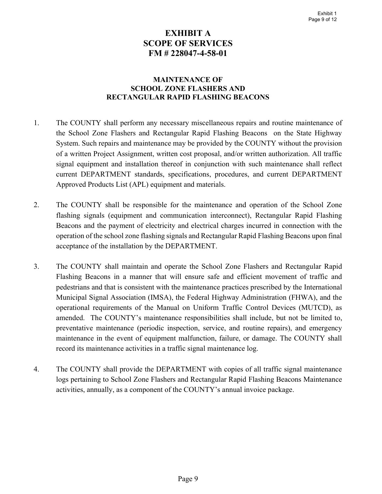# EXHIBIT A SCOPE OF SERVICES FM # 228047-4-58-01

#### MAINTENANCE OF SCHOOL ZONE FLASHERS AND RECTANGULAR RAPID FLASHING BEACONS

- 1. The COUNTY shall perform any necessary miscellaneous repairs and routine maintenance of the School Zone Flashers and Rectangular Rapid Flashing Beacons on the State Highway System. Such repairs and maintenance may be provided by the COUNTY without the provision of a written Project Assignment, written cost proposal, and/or written authorization. All traffic signal equipment and installation thereof in conjunction with such maintenance shall reflect current DEPARTMENT standards, specifications, procedures, and current DEPARTMENT Approved Products List (APL) equipment and materials.
- 2. The COUNTY shall be responsible for the maintenance and operation of the School Zone flashing signals (equipment and communication interconnect), Rectangular Rapid Flashing Beacons and the payment of electricity and electrical charges incurred in connection with the operation of the school zone flashing signals and Rectangular Rapid Flashing Beacons upon final acceptance of the installation by the DEPARTMENT.
- 3. The COUNTY shall maintain and operate the School Zone Flashers and Rectangular Rapid Flashing Beacons in a manner that will ensure safe and efficient movement of traffic and pedestrians and that is consistent with the maintenance practices prescribed by the International Municipal Signal Association (IMSA), the Federal Highway Administration (FHWA), and the operational requirements of the Manual on Uniform Traffic Control Devices (MUTCD), as amended. The COUNTY's maintenance responsibilities shall include, but not be limited to, preventative maintenance (periodic inspection, service, and routine repairs), and emergency maintenance in the event of equipment malfunction, failure, or damage. The COUNTY shall record its maintenance activities in a traffic signal maintenance log.
- 4. The COUNTY shall provide the DEPARTMENT with copies of all traffic signal maintenance logs pertaining to School Zone Flashers and Rectangular Rapid Flashing Beacons Maintenance activities, annually, as a component of the COUNTY's annual invoice package.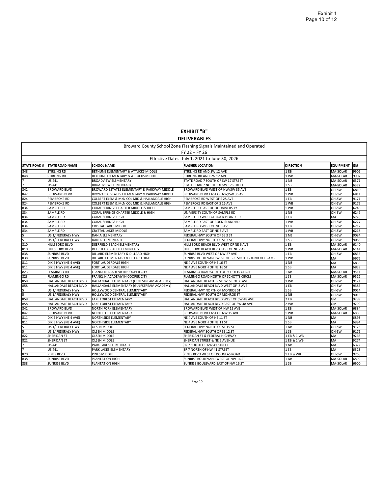EXHIBIT "B" DELIVERABLES

|                     |                                                |                                              | Broward County School Zone Flashing Signals Maintained and Operated<br>FY 22 - FY 26 |                  |                  |      |
|---------------------|------------------------------------------------|----------------------------------------------|--------------------------------------------------------------------------------------|------------------|------------------|------|
|                     | Effective Dates: July 1, 2021 to June 30, 2026 |                                              |                                                                                      |                  |                  |      |
| <b>STATE ROAD #</b> | <b>STATE ROAD NAME</b>                         | <b>SCHOOL NAME</b>                           | <b>FLASHER LOCATION</b>                                                              | <b>DIRECTION</b> | <b>EQUIPMENT</b> | lıD# |
| 848                 | STIRLING RD                                    | BETHUNE ELEMENTARY & ATTUCKS MIDDLE          | STIRLING RD AND SW 12 AVE                                                            | 1 EB             | MA-SOLAR         | 9906 |
| 848                 | STIRLING RD                                    | BETHUNE ELEMENTARY & ATTUCKS MIDDLE          | STIRLING RD AND SW 12 AVE                                                            | 1 WB             | MA-SOLAR         | 9907 |
|                     | US 441                                         | <b>BROADVIEW ELEMENTARY</b>                  | STATE ROAD 7 SOUTH OF SW 17 STREET                                                   | 1 NB             | MA-SOLAR         | 6371 |
|                     | US 441                                         | <b>BROADVIEW ELEMENTARY</b>                  | STATE ROAD 7 NORTH OF SW 17 STREET                                                   | 1 SB             | MA-SOLAR         | 6372 |
| 842                 | <b>BROWARD BLVD</b>                            | BROWARD ESTATES ELEMENTARY & PARKWAY MIDDLE  | BROWARD BLVD WEST OF NW/SW 35 AVE                                                    | 1EB              | OH-SW            | 6810 |
| 842                 | <b>BROWARD BLVD</b>                            | BROWARD ESTATES ELEMENTARY & PARKWAY MIDDLE  | BROWARD BLVD EAST OF NW/SW 35 AVE                                                    | 1 WB             | OH-SW            | 6811 |
| 824                 | PEMBROKE RD                                    | COLBERT ELEM & MCNICOL MID & HALLANDALE HIGH | PEMBROKE RD WEST OF S 28 AVE                                                         | 1EB              | OH-SW            | 9171 |
| 824                 | PEMBROKE RD                                    | COLBERT ELEM & McNICOL MID & HALLANDALE HIGH | PEMBROKE RD EAST OF S 26 AVE                                                         | 1 WB             | OH-SW            | 9172 |
| 834                 | SAMPLE RD                                      | CORAL SPRINGS CHARTER MIDDLE & HIGH          | SAMPLE RD EAST OF OF UNIVERSITY                                                      | 1 WB             | OH-SW            | 6248 |
| 834                 | SAMPLE RD                                      | CORAL SPRINGS CHARTER MIDDLE & HIGH          | UNIVERSITY SOUTH OF SAMPLE RD                                                        | 1 NB             | OH-SW            | 6249 |
| 834                 | SAMPLE RD                                      | CORAL SPRINGS HIGH                           | SAMPLE RD WEST OF ROCK ISLAND RD                                                     | 1EB              | <b>MA</b>        | 6226 |
| 834                 | SAMPLE RD                                      | <b>CORAL SPRINGS HIGH</b>                    | SAMPLE RD EAST OF ROCK ISLAND RD                                                     | 1 WB             | OH-SW            | 6227 |
| 834                 | SAMPLE RD                                      | CRYSTAL LAKES MIDDLE                         | SAMPLE RD WEST OF NE 3 AVE                                                           | 1 EB             | OH-SW            | 6217 |
| 834                 | SAMPLE RD                                      | <b>CRYSTAL LAKES MIDDLE</b>                  | SAMPLE RD EAST OF NE 3 AVE                                                           | 1 WB             | OH-SW            | 6218 |
|                     | US 1/ FEDERALY HWY                             | DANIA ELEMENTARY                             | FEDERAL HWY SOUTH OF SE 3 ST                                                         | 1 NB             | OH-SW            | 9084 |
| 5                   | US 1/ FEDERALY HWY                             | <b>DANIA ELEMENTARY</b>                      | FEDERAL HWY NORTH OF SE 3 ST                                                         | 1S               | OH-SW            | 9085 |
| 810                 | HILLSBORO BLVD                                 | DEERFIELD BEACH ELEMENTARY                   | HILLSBORO BEACH BLVD WEST OF NE 6 AVE                                                | 1 EB             | MA-SOLAR         | 6140 |
| 810                 | HILLSBORO BLVD                                 | DEERFIELD BEACH ELEMENTARY                   | HILLSBORO BEACH BLVD EAST OF NE 7 AVE                                                | 1 WB             | MA-SOLAR         | 6141 |
| 838                 | <b>SUNRISE BLVD</b>                            | DILLARD ELEMENTARY & DILLARD HIGH            | SUNRISE BLVD WEST OF NW 27 AVE                                                       | 1 EB             | OH-SW            | 6835 |
| 838                 | <b>SUNRISE BLVD</b>                            | DILLARD ELEMENTARY & DILLARD HIGH            | SUNRISE BOULEVARD WEST OF 1-95 SOUTHBOUND OFF RAMP                                   | 1 WB             | lмa              | 6976 |
| 811                 | DIXIE HWY (NE 4 AVE)                           | FORT LAUDERDALE HIGH                         | NE 4 AVE SOUTH OF NE 16 ST                                                           | 1 NB             | İMA              | 6838 |
| 811                 | DIXIE HWY (NE 4 AVE)                           | FORT LAUDERDALE HIGH                         | NE 4 AVE NORTH OF NE 16 ST                                                           | 1S               | MA               | 6839 |
| 823                 | <b>FLAMINGO RD</b>                             | FRANKLIN ACADEMY IN COOPER CITY              | FLAMINGO ROAD SOUTH OF SCHOTTS CIRCLE                                                | 1 NB             | MA-SOLAR         | 9511 |
| 823                 | FLAMINGO RD                                    | FRANKLIN ACADEMY IN COOPER CITY              | FLAMINGO ROAD NORTH OF SCHOTTS CIRCLE                                                | 1 SB             | MA-SOLAR         | 9512 |
| 858                 | HALLANDALE BEACH BLVD                          | HALLANDALE ELEMENTARY (GULFSTREAM ACADEMY)   | HALLANDALE BEACH BLVD WEST OF 6 AVE                                                  | 1 WB             | OH-SW            | 9121 |
| 858                 | HALLANDALE BEACH BLVD                          | HALLANDALE ELEMENTARY (GULFSTREAM ACADEMY)   | HALLANDALE BEACH BLVD WEST OF 8 AVE                                                  | 1 EB             | OH-SW            | 9385 |
|                     | US 1/ FEDERALY HWY                             | HOLLYWOOD CENTRAL ELEMENTARY                 | FEDERAL HWY NORTH OF MONROE ST                                                       | 1S               | OH-SW            | 9014 |
| 5                   | US 1/ FEDERALY HWY                             | HOLLYWOOD CENTRAL ELEMENTARY                 | FEDERAL HWY SOUTH OF MONROE ST                                                       | 1 NB             | OH-SW            | 9013 |
| 858                 | HALLANDALE BEACH BLVD                          | LAKE FOREST ELEMENTARY                       | HALLANDALE BEACH BLVD WEST OF SW 48 AVE                                              | 2 EB             | <b>GM</b>        | 9289 |
| 858                 | HALLANDALE BEACH BLVD                          | LAKE FOREST ELEMENTARY                       | HALLANDALE BEACH BLVD EAST OF SW 48 AVE                                              | 2 WB             | GM               | 9290 |
| 842                 | <b>BROWARD BLVD</b>                            | NORTH FORK ELEMENTARY                        | BROWARD BLVD WEST OF NW 15 AVE                                                       | 1EB              | MA-SOLAR         | 6884 |
| 842                 | <b>BROWARD BLVD</b>                            | NORTH FORK ELEMENTARY                        | BROWARD BLVD EAST OF NW 15 AVE                                                       | 1 WB             | MA-SOLAR         | 6885 |
| 811                 | DIXIE HWY (NE 4 AVE)                           | NORTH SIDE ELEMENTARY                        | NE 4 AVE SOUTH OF NE 11 ST                                                           | 1 NB             | MA               | 6893 |
| 811                 | DIXIE HWY (NE 4 AVE)                           | NORTH SIDE ELEMENTARY                        | NE 4 AVE NORTH OF NE 11 ST                                                           | 1 SB             | İMA              | 6894 |
|                     | US 1/ FEDERALY HWY                             | <b>OLSEN MIDDLE</b>                          | FEDERAL HWY NORTH OF SE 15 ST                                                        | 1 NB             | OH-SW            | 9175 |
|                     | US 1/ FEDERALY HWY                             | <b>OLSEN MIDDLE</b>                          | FEDERAL HWY SOUTH OF SE 12 ST                                                        | 1 SB             | <b>OH-SW</b>     | 9176 |
| 822                 | <b>SHERIDAN ST</b>                             | <b>OLSEN MIDDLE</b>                          | SHERIDAN ST & FEDERAL HIGHWAY                                                        | 1 EB & 1 WB      | lma              | 9266 |
| 822                 | <b>SHERIDAN ST</b>                             | <b>OLSEN MIDDLE</b>                          | SHERIDAN STREET & NE 5 AVENUE                                                        | 1 EB & 1 WB      | MA               | 9274 |
|                     | US 441                                         | PARK LAKES ELEMENTARY                        | SR 7 SOUTH OF NW 41 STREET                                                           | 1 NB             | MA               | 6322 |
|                     | US 441                                         | PARK LAKES ELEMENTARY                        | SR 7 NORTH OF NW 41 STREET                                                           | 1 SB             | MA               | 6323 |
| 820                 | PINES BLVD                                     | PINES MIDDLE                                 | PINES BLVD WEST OF DOUGLAS ROAD                                                      | 1 EB & WB        | OH-SW            | 9268 |
| 838                 | <b>SUNRISE BLVD</b>                            | PLANTATION HIGH                              | SUNRISE BOULEVARD WEST OF NW 16 ST                                                   | 1 NB             | MA-SOLAR         | 6899 |
| 838                 | SUNRISE BLVD                                   | PLANTATION HIGH                              | SUNRISE BOULEVARD EAST OF NW 16 ST                                                   | 1 SB             | MA-SOLAR         | 6900 |

Page 10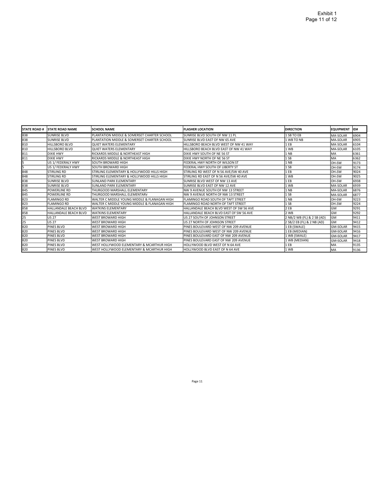| <b>STATE ROAD#</b> | <b>STATE ROAD NAME</b> | <b>SCHOOL NAME</b>                           | <b>FLASHER LOCATION</b>                 | <b>DIRECTION</b>           | <b>EQUIPMENT</b> | IID# |
|--------------------|------------------------|----------------------------------------------|-----------------------------------------|----------------------------|------------------|------|
| 838                | SUNRISE BLVD           | PLANTATION MIDDLE & SOMERSET CHARTER SCHOOL  | SUNRISE BLVD SOUTH OF NW 11 PL          | 1 SB TO EB                 | MA-SOLAR         | 6904 |
| 838                | <b>SUNRISE BLVD</b>    | PLANTATION MIDDLE & SOMERSET CHARTER SCHOOL  | <b>SUNRISE BLVD EAST OF NW 65 AVE</b>   | 1 WB TO NB                 | MA-SOLAR         | 6905 |
| 810                | <b>HILLSBORO BLVD</b>  | <b>QUIET WATERS ELEMENTARY</b>               | HILLSBORO BEACH BLVD WEST OF NW 41 WAY  | 1 EB                       | MA-SOLAR         | 6104 |
| 810                | <b>HILLSBORO BLVD</b>  | <b>QUIET WATERS ELEMENTARY</b>               | HILLSBORO BEACH BLVD EAST OF NW 41 WAY  | 1 WB                       | MA-SOLAR         | 6105 |
| 811                | <b>DIXIE HWY</b>       | RICKARDS MIDDLE & NORTHEAST HIGH             | DIXIE HWY SOUTH OF NE 56 ST             | 11 NB                      | <b>IMA</b>       | 6361 |
| 811                | <b>DIXIE HWY</b>       | <b>RICKARDS MIDDLE &amp; NORTHEAST HIGH</b>  | DIXIE HWY NORTH OF NE 56 ST             | $1$ SB                     | <b>IMA</b>       | 6362 |
| 5                  | US 1/ FEDERALY HWY     | <b>SOUTH BROWARD HIGH</b>                    | FEDERAL HWY NORTH OF WILSON ST          | 1 <sub>NB</sub>            | loh-sw           | 9173 |
| 5                  | US 1/ FEDERALY HWY     | <b>SOUTH BROWARD HIGH</b>                    | FEDERAL HWY SOUTH OF LIBERTY ST         | 1 <sub>SB</sub>            | <b>OH-SW</b>     | 9174 |
| 848                | <b>STIRLING RD</b>     | STIRLING ELEMENTARY & HOLLYWOOD HILLS HIGH   | STIRLING RD WEST OF N 56 AVE/SW 40 AVE  | 1 EB                       | <b>OH-SW</b>     | 9024 |
| 848                | <b>STIRLING RD</b>     | STIRLING ELEMENTARY & HOLLYWOOD HILLS HIGH   | STIRLING RD EAST OF N 56 AVE/SW 40 AVE  | 1 WB                       | <b>OH-SW</b>     | 9025 |
| 838                | <b>SUNRISE BLVD</b>    | <b>SUNLAND PARK ELEMENTARY</b>               | SUNRISE BLVD WEST OF NW 13 AVE          | 1 EB                       | IOH-SW           | 6938 |
| 838                | <b>SUNRISE BLVD</b>    | <b>SUNLAND PARK ELEMENTARY</b>               | SUNRISE BLVD EAST OF NW 12 AVE          | 1 WB                       | MA-SOLAR         | 6939 |
| 845                | <b>POWERLINE RD</b>    | THURGOOD MARSHALL ELEMENTARY                 | NW 9 AVENUE SOUTH OF NW 13 STREET       | 11 NB                      | MA-SOLAR         | 6876 |
| 845                | POWERLINE RD           | THURGOOD MARSHALL FLEMENTARY                 | NW 9 AVENUE NORTH OF NW 13 STREET       | $1$ SB                     | MA-SOLAR         | 6877 |
| 823                | <b>FLAMINGO RD</b>     | WALTER C MIDDLE YOUNG MIDDLE & FLANAGAN HIGH | FLAMINGO ROAD SOUTH OF TAFT STREET      | 1 NB                       | <b>OH-SW</b>     | 9223 |
| 823                | <b>FLAMINGO RD</b>     | WALTER C MIDDLE YOUNG MIDDLE & FLANAGAN HIGH | FLAMINGO ROAD NORTH OF TAFT STREET      | $1$ SB                     | loh-sw           | 9224 |
| 858                | HALLANDALE BEACH BLVD  | <b>WATKINS ELEMENTARY</b>                    | HALLANDALE BEACH BLVD WEST OF SW 56 AVE | 12 EB                      | <b>GM</b>        | 9291 |
| 858                | HALLANDALE BEACH BLVD  | <b>WATKINS ELEMENTARY</b>                    | HALLANDALE BEACH BLVD EAST OF SW 56 AVE | 2 WB                       | lgm              | 9292 |
| 25                 | <b>US 27</b>           | <b>WEST BROWARD HIGH</b>                     | US 27 SOUTH OF JOHNSON STREET           | 2 NB/2 WB (FL) & 2 SB (AD) | lgm              | 9411 |
| $\overline{25}$    | US 27                  | <b>WEST BROWARD HIGH</b>                     | US 27 NORTH OF JOHNSON STREET           | 2 SB/2 EB (FL) & 2 NB (AD) | lgm              | 9412 |
| 820                | PINES BLVD             | <b>WEST BROWARD HIGH</b>                     | PINES BOULEVARD WEST OF NW 209 AVENUE   | 1 EB (SWALE)               | <b>GM-SOLAR</b>  | 9415 |
| 820                | <b>PINES BLVD</b>      | <b>WEST BROWARD HIGH</b>                     | PINES BOULEVARD WEST OF NW 209 AVENUE   | 1 EB (MEDIAN)              | <b>GM-SOLAR</b>  | 9416 |
| 820                | PINES BLVD             | <b>WEST BROWARD HIGH</b>                     | PINES BOULEVARD EAST OF NW 209 AVENUE   | 1 WB (SWALE)               | <b>GM-SOLAR</b>  | 9417 |
| 820                | PINES BLVD             | <b>WEST BROWARD HIGH</b>                     | PINES BOULEVARD EAST OF NW 209 AVENUE   | 1 WB (MEDIAN)              | <b>GM-SOLAR</b>  | 9418 |
| 820                | <b>PINES BLVD</b>      | WEST HOLLYWOOD ELEMENTARY & MCARTHUR HIGH    | HOLLYWOOD BLVD WEST OF N 64 AVE         | 1 EB                       | <b>IMA</b>       | 9135 |
| 820                | <b>PINES BLVD</b>      | WEST HOLLYWOOD ELEMENTARY & MCARTHUR HIGH    | HOLLYWOOD BLVD EAST OF N 64 AVE         | 1 WB                       | <b>IMA</b>       | 9136 |

Page 11